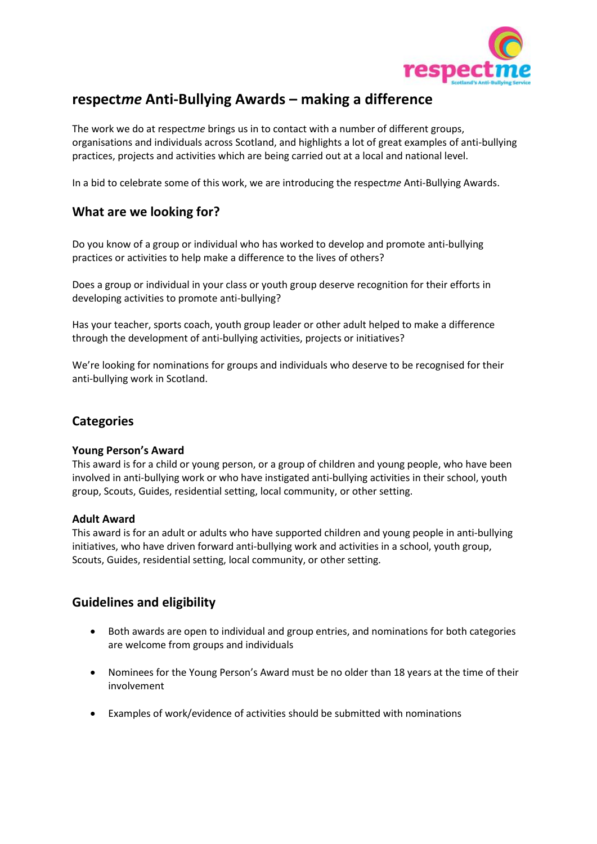

# **respect***me* **Anti-Bullying Awards – making a difference**

The work we do at respect*me* brings us in to contact with a number of different groups, organisations and individuals across Scotland, and highlights a lot of great examples of anti-bullying practices, projects and activities which are being carried out at a local and national level.

In a bid to celebrate some of this work, we are introducing the respect*me* Anti-Bullying Awards.

# **What are we looking for?**

Do you know of a group or individual who has worked to develop and promote anti-bullying practices or activities to help make a difference to the lives of others?

Does a group or individual in your class or youth group deserve recognition for their efforts in developing activities to promote anti-bullying?

Has your teacher, sports coach, youth group leader or other adult helped to make a difference through the development of anti-bullying activities, projects or initiatives?

We're looking for nominations for groups and individuals who deserve to be recognised for their anti-bullying work in Scotland.

## **Categories**

#### **Young Person's Award**

This award is for a child or young person, or a group of children and young people, who have been involved in anti-bullying work or who have instigated anti-bullying activities in their school, youth group, Scouts, Guides, residential setting, local community, or other setting.

#### **Adult Award**

This award is for an adult or adults who have supported children and young people in anti-bullying initiatives, who have driven forward anti-bullying work and activities in a school, youth group, Scouts, Guides, residential setting, local community, or other setting.

# **Guidelines and eligibility**

- Both awards are open to individual and group entries, and nominations for both categories are welcome from groups and individuals
- Nominees for the Young Person's Award must be no older than 18 years at the time of their involvement
- Examples of work/evidence of activities should be submitted with nominations